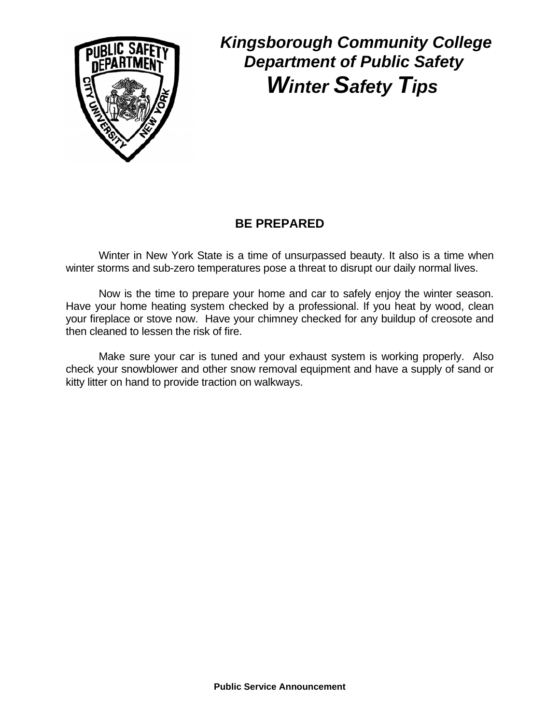

### **BE PREPARED**

Winter in New York State is a time of unsurpassed beauty. It also is a time when winter storms and sub-zero temperatures pose a threat to disrupt our daily normal lives.

 Now is the time to prepare your home and car to safely enjoy the winter season. Have your home heating system checked by a professional. If you heat by wood, clean your fireplace or stove now. Have your chimney checked for any buildup of creosote and then cleaned to lessen the risk of fire.

 Make sure your car is tuned and your exhaust system is working properly. Also check your snowblower and other snow removal equipment and have a supply of sand or kitty litter on hand to provide traction on walkways.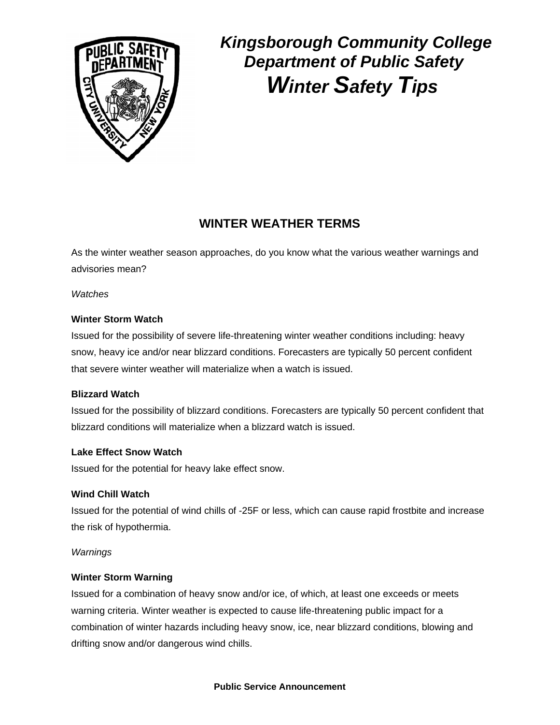

### **WINTER WEATHER TERMS**

As the winter weather season approaches, do you know what the various weather warnings and advisories mean?

*Watches*

#### **Winter Storm Watch**

Issued for the possibility of severe life-threatening winter weather conditions including: heavy snow, heavy ice and/or near blizzard conditions. Forecasters are typically 50 percent confident that severe winter weather will materialize when a watch is issued.

#### **Blizzard Watch**

Issued for the possibility of blizzard conditions. Forecasters are typically 50 percent confident that blizzard conditions will materialize when a blizzard watch is issued.

#### **Lake Effect Snow Watch**

Issued for the potential for heavy lake effect snow.

#### **Wind Chill Watch**

Issued for the potential of wind chills of -25F or less, which can cause rapid frostbite and increase the risk of hypothermia.

#### *Warnings*

#### **Winter Storm Warning**

Issued for a combination of heavy snow and/or ice, of which, at least one exceeds or meets warning criteria. Winter weather is expected to cause life-threatening public impact for a combination of winter hazards including heavy snow, ice, near blizzard conditions, blowing and drifting snow and/or dangerous wind chills.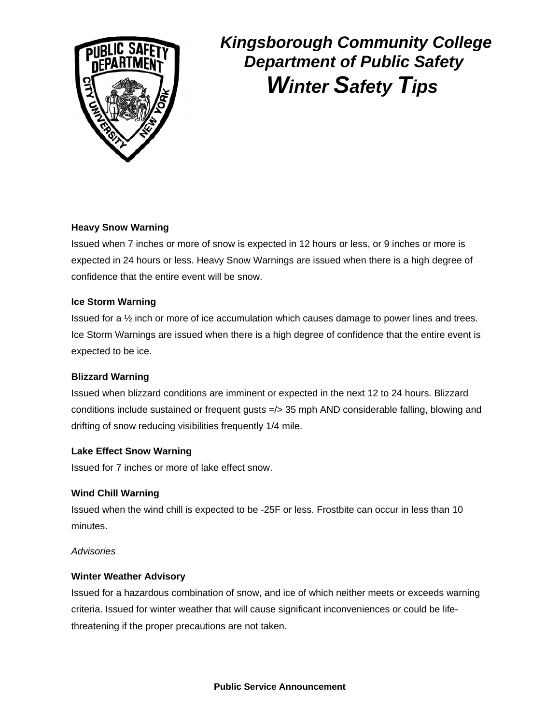

#### **Heavy Snow Warning**

Issued when 7 inches or more of snow is expected in 12 hours or less, or 9 inches or more is expected in 24 hours or less. Heavy Snow Warnings are issued when there is a high degree of confidence that the entire event will be snow.

#### **Ice Storm Warning**

Issued for a ½ inch or more of ice accumulation which causes damage to power lines and trees. Ice Storm Warnings are issued when there is a high degree of confidence that the entire event is expected to be ice.

#### **Blizzard Warning**

Issued when blizzard conditions are imminent or expected in the next 12 to 24 hours. Blizzard conditions include sustained or frequent gusts =/> 35 mph AND considerable falling, blowing and drifting of snow reducing visibilities frequently 1/4 mile.

#### **Lake Effect Snow Warning**

Issued for 7 inches or more of lake effect snow.

#### **Wind Chill Warning**

Issued when the wind chill is expected to be -25F or less. Frostbite can occur in less than 10 minutes.

#### *Advisories*

#### **Winter Weather Advisory**

Issued for a hazardous combination of snow, and ice of which neither meets or exceeds warning criteria. Issued for winter weather that will cause significant inconveniences or could be lifethreatening if the proper precautions are not taken.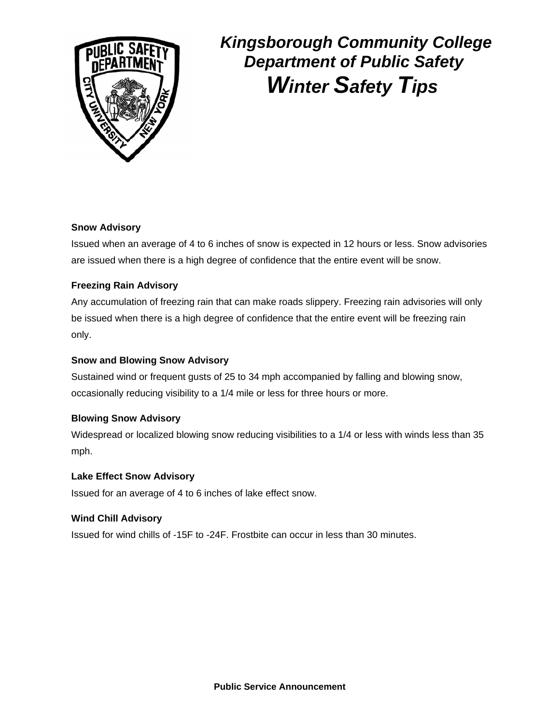

#### **Snow Advisory**

Issued when an average of 4 to 6 inches of snow is expected in 12 hours or less. Snow advisories are issued when there is a high degree of confidence that the entire event will be snow.

#### **Freezing Rain Advisory**

Any accumulation of freezing rain that can make roads slippery. Freezing rain advisories will only be issued when there is a high degree of confidence that the entire event will be freezing rain only.

#### **Snow and Blowing Snow Advisory**

Sustained wind or frequent gusts of 25 to 34 mph accompanied by falling and blowing snow, occasionally reducing visibility to a 1/4 mile or less for three hours or more.

#### **Blowing Snow Advisory**

Widespread or localized blowing snow reducing visibilities to a 1/4 or less with winds less than 35 mph.

#### **Lake Effect Snow Advisory**

Issued for an average of 4 to 6 inches of lake effect snow.

#### **Wind Chill Advisory**

Issued for wind chills of -15F to -24F. Frostbite can occur in less than 30 minutes.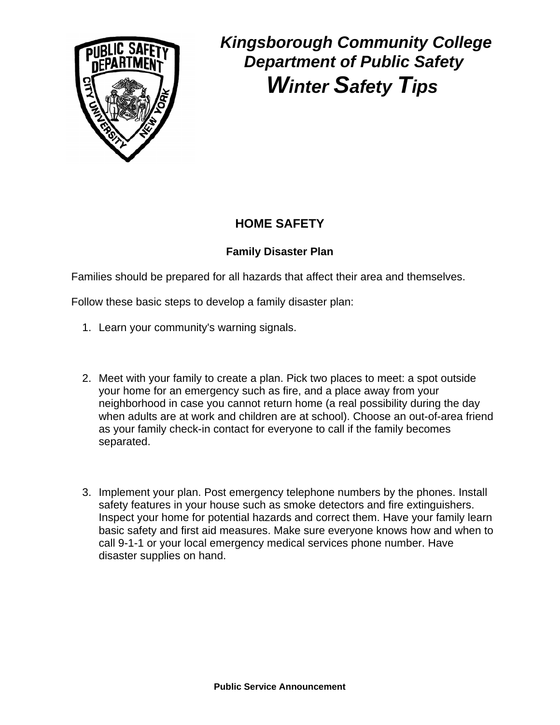

### **HOME SAFETY**

### **Family Disaster Plan**

Families should be prepared for all hazards that affect their area and themselves.

Follow these basic steps to develop a family disaster plan:

- 1. Learn your community's warning signals.
- 2. Meet with your family to create a plan. Pick two places to meet: a spot outside your home for an emergency such as fire, and a place away from your neighborhood in case you cannot return home (a real possibility during the day when adults are at work and children are at school). Choose an out-of-area friend as your family check-in contact for everyone to call if the family becomes separated.
- 3. Implement your plan. Post emergency telephone numbers by the phones. Install safety features in your house such as smoke detectors and fire extinguishers. Inspect your home for potential hazards and correct them. Have your family learn basic safety and first aid measures. Make sure everyone knows how and when to call 9-1-1 or your local emergency medical services phone number. Have disaster supplies on hand.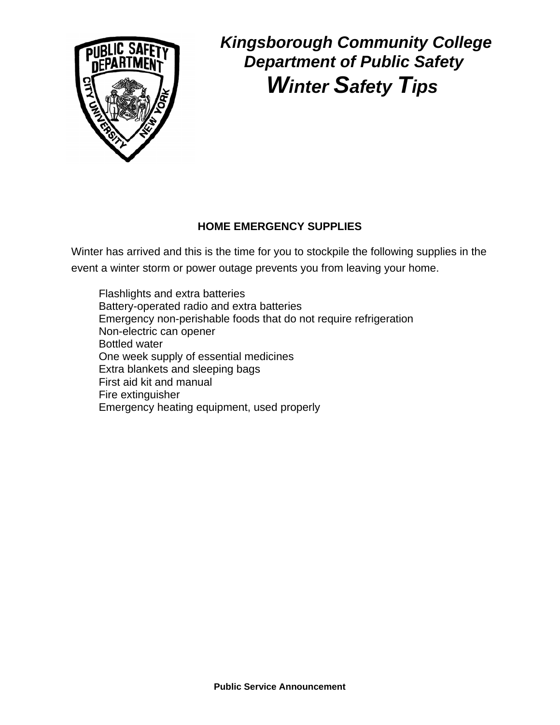

### **HOME EMERGENCY SUPPLIES**

Winter has arrived and this is the time for you to stockpile the following supplies in the event a winter storm or power outage prevents you from leaving your home.

Flashlights and extra batteries Battery-operated radio and extra batteries Emergency non-perishable foods that do not require refrigeration Non-electric can opener Bottled water One week supply of essential medicines Extra blankets and sleeping bags First aid kit and manual Fire extinguisher Emergency heating equipment, used properly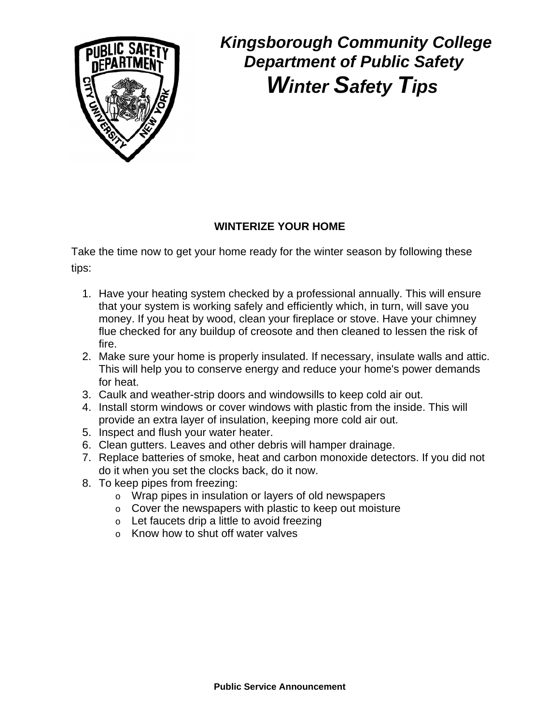

#### **WINTERIZE YOUR HOME**

Take the time now to get your home ready for the winter season by following these tips:

- 1. Have your heating system checked by a professional annually. This will ensure that your system is working safely and efficiently which, in turn, will save you money. If you heat by wood, clean your fireplace or stove. Have your chimney flue checked for any buildup of creosote and then cleaned to lessen the risk of fire.
- 2. Make sure your home is properly insulated. If necessary, insulate walls and attic. This will help you to conserve energy and reduce your home's power demands for heat.
- 3. Caulk and weather-strip doors and windowsills to keep cold air out.
- 4. Install storm windows or cover windows with plastic from the inside. This will provide an extra layer of insulation, keeping more cold air out.
- 5. Inspect and flush your water heater.
- 6. Clean gutters. Leaves and other debris will hamper drainage.
- 7. Replace batteries of smoke, heat and carbon monoxide detectors. If you did not do it when you set the clocks back, do it now.
- 8. To keep pipes from freezing:
	- o Wrap pipes in insulation or layers of old newspapers
	- o Cover the newspapers with plastic to keep out moisture
	- o Let faucets drip a little to avoid freezing
	- o Know how to shut off water valves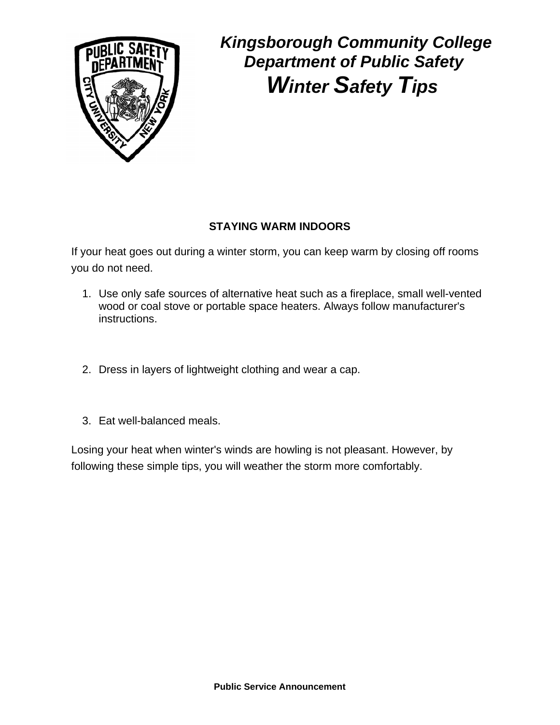

### **STAYING WARM INDOORS**

If your heat goes out during a winter storm, you can keep warm by closing off rooms you do not need.

- 1. Use only safe sources of alternative heat such as a fireplace, small well-vented wood or coal stove or portable space heaters. Always follow manufacturer's instructions.
- 2. Dress in layers of lightweight clothing and wear a cap.
- 3. Eat well-balanced meals.

Losing your heat when winter's winds are howling is not pleasant. However, by following these simple tips, you will weather the storm more comfortably.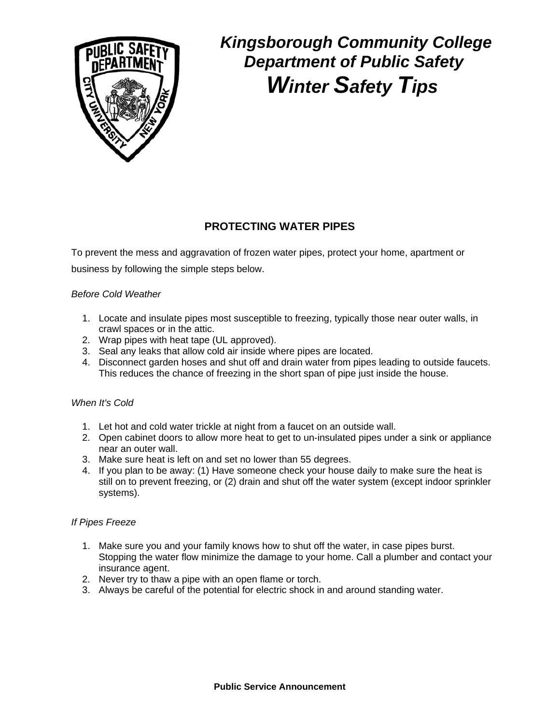

#### **PROTECTING WATER PIPES**

To prevent the mess and aggravation of frozen water pipes, protect your home, apartment or business by following the simple steps below.

#### *Before Cold Weather*

- 1. Locate and insulate pipes most susceptible to freezing, typically those near outer walls, in crawl spaces or in the attic.
- 2. Wrap pipes with heat tape (UL approved).
- 3. Seal any leaks that allow cold air inside where pipes are located.
- 4. Disconnect garden hoses and shut off and drain water from pipes leading to outside faucets. This reduces the chance of freezing in the short span of pipe just inside the house.

#### *When It's Cold*

- 1. Let hot and cold water trickle at night from a faucet on an outside wall.
- 2. Open cabinet doors to allow more heat to get to un-insulated pipes under a sink or appliance near an outer wall.
- 3. Make sure heat is left on and set no lower than 55 degrees.
- 4. If you plan to be away: (1) Have someone check your house daily to make sure the heat is still on to prevent freezing, or (2) drain and shut off the water system (except indoor sprinkler systems).

#### *If Pipes Freeze*

- 1. Make sure you and your family knows how to shut off the water, in case pipes burst. Stopping the water flow minimize the damage to your home. Call a plumber and contact your insurance agent.
- 2. Never try to thaw a pipe with an open flame or torch.
- 3. Always be careful of the potential for electric shock in and around standing water.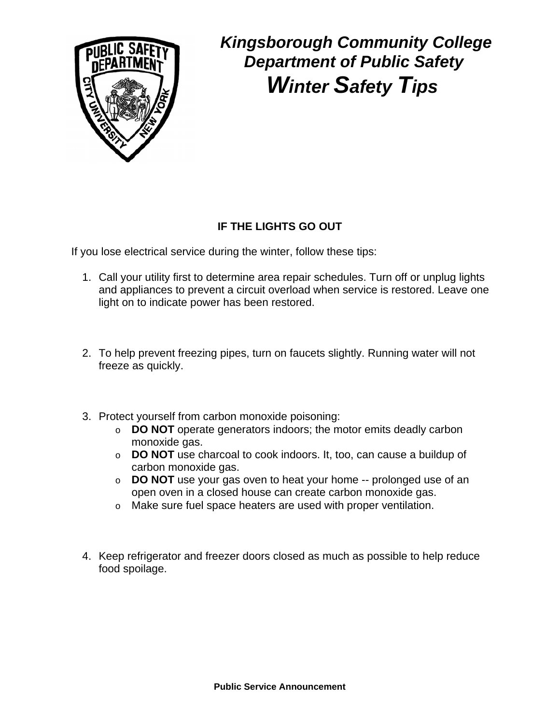

### **IF THE LIGHTS GO OUT**

If you lose electrical service during the winter, follow these tips:

- 1. Call your utility first to determine area repair schedules. Turn off or unplug lights and appliances to prevent a circuit overload when service is restored. Leave one light on to indicate power has been restored.
- 2. To help prevent freezing pipes, turn on faucets slightly. Running water will not freeze as quickly.
- 3. Protect yourself from carbon monoxide poisoning:
	- o **DO NOT** operate generators indoors; the motor emits deadly carbon monoxide gas.
	- o **DO NOT** use charcoal to cook indoors. It, too, can cause a buildup of carbon monoxide gas.
	- o **DO NOT** use your gas oven to heat your home -- prolonged use of an open oven in a closed house can create carbon monoxide gas.
	- o Make sure fuel space heaters are used with proper ventilation.
- 4. Keep refrigerator and freezer doors closed as much as possible to help reduce food spoilage.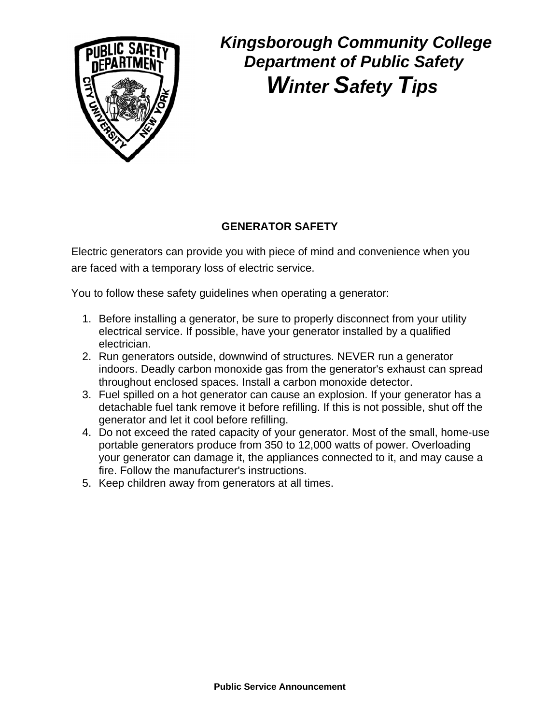

### **GENERATOR SAFETY**

Electric generators can provide you with piece of mind and convenience when you are faced with a temporary loss of electric service.

You to follow these safety guidelines when operating a generator:

- 1. Before installing a generator, be sure to properly disconnect from your utility electrical service. If possible, have your generator installed by a qualified electrician.
- 2. Run generators outside, downwind of structures. NEVER run a generator indoors. Deadly carbon monoxide gas from the generator's exhaust can spread throughout enclosed spaces. Install a carbon monoxide detector.
- 3. Fuel spilled on a hot generator can cause an explosion. If your generator has a detachable fuel tank remove it before refilling. If this is not possible, shut off the generator and let it cool before refilling.
- 4. Do not exceed the rated capacity of your generator. Most of the small, home-use portable generators produce from 350 to 12,000 watts of power. Overloading your generator can damage it, the appliances connected to it, and may cause a fire. Follow the manufacturer's instructions.
- 5. Keep children away from generators at all times.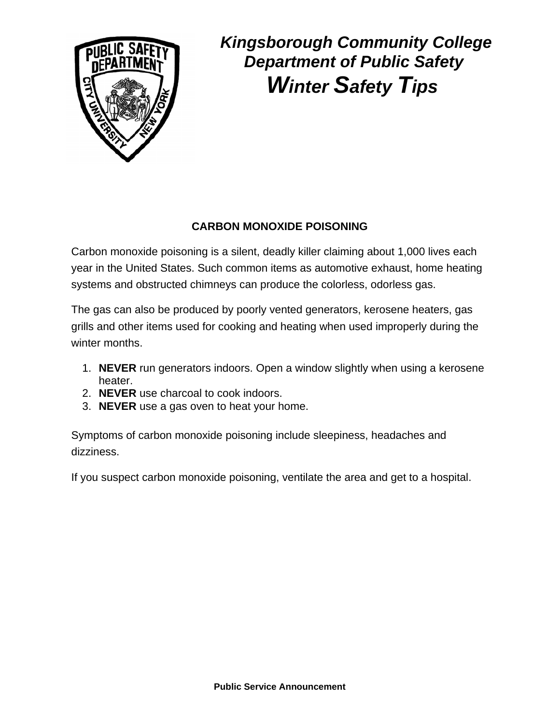

### **CARBON MONOXIDE POISONING**

Carbon monoxide poisoning is a silent, deadly killer claiming about 1,000 lives each year in the United States. Such common items as automotive exhaust, home heating systems and obstructed chimneys can produce the colorless, odorless gas.

The gas can also be produced by poorly vented generators, kerosene heaters, gas grills and other items used for cooking and heating when used improperly during the winter months.

- 1. **NEVER** run generators indoors. Open a window slightly when using a kerosene heater.
- 2. **NEVER** use charcoal to cook indoors.
- 3. **NEVER** use a gas oven to heat your home.

Symptoms of carbon monoxide poisoning include sleepiness, headaches and dizziness.

If you suspect carbon monoxide poisoning, ventilate the area and get to a hospital.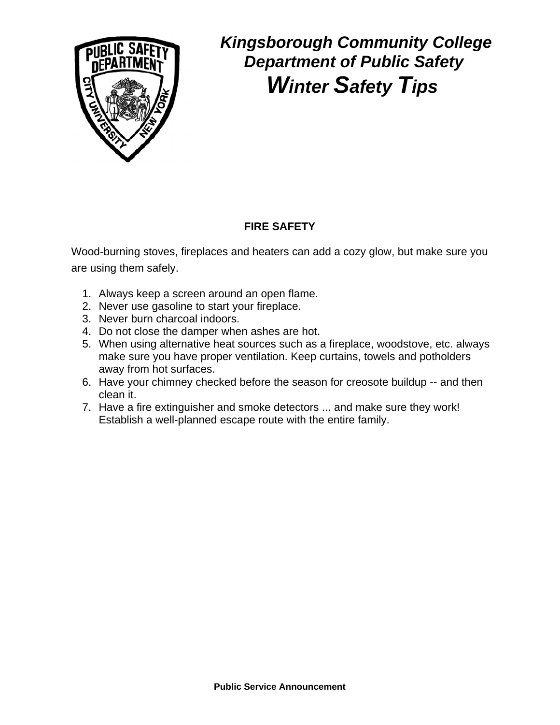

### **FIRE SAFETY**

Wood-burning stoves, fireplaces and heaters can add a cozy glow, but make sure you are using them safely.

- 1. Always keep a screen around an open flame.
- 2. Never use gasoline to start your fireplace.
- 3. Never burn charcoal indoors.
- 4. Do not close the damper when ashes are hot.
- 5. When using alternative heat sources such as a fireplace, woodstove, etc. always make sure you have proper ventilation. Keep curtains, towels and potholders away from hot surfaces.
- 6. Have your chimney checked before the season for creosote buildup -- and then clean it.
- 7. Have a fire extinguisher and smoke detectors ... and make sure they work! Establish a well-planned escape route with the entire family.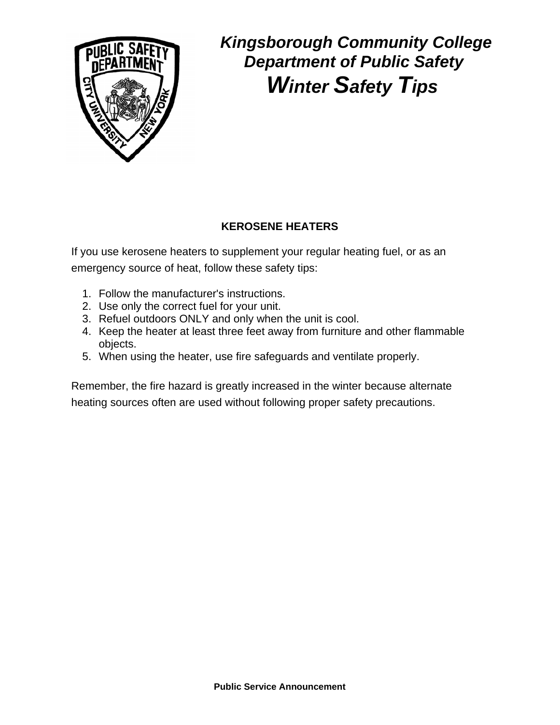

### **KEROSENE HEATERS**

If you use kerosene heaters to supplement your regular heating fuel, or as an emergency source of heat, follow these safety tips:

- 1. Follow the manufacturer's instructions.
- 2. Use only the correct fuel for your unit.
- 3. Refuel outdoors ONLY and only when the unit is cool.
- 4. Keep the heater at least three feet away from furniture and other flammable objects.
- 5. When using the heater, use fire safeguards and ventilate properly.

Remember, the fire hazard is greatly increased in the winter because alternate heating sources often are used without following proper safety precautions.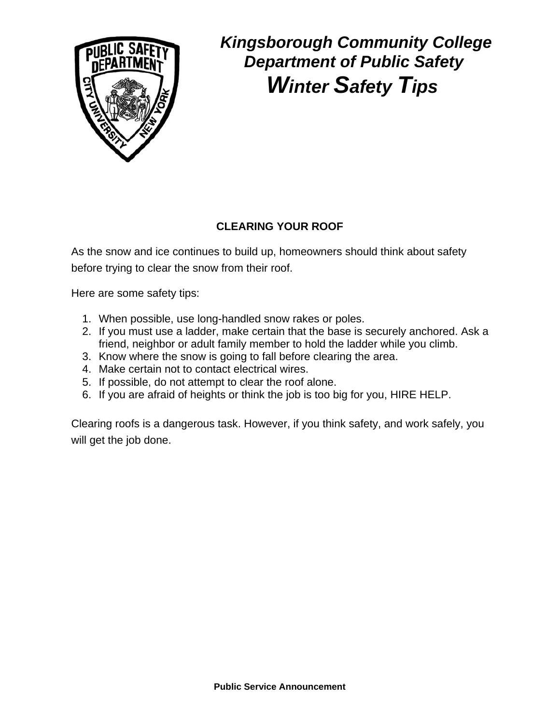

### **CLEARING YOUR ROOF**

As the snow and ice continues to build up, homeowners should think about safety before trying to clear the snow from their roof.

Here are some safety tips:

- 1. When possible, use long-handled snow rakes or poles.
- 2. If you must use a ladder, make certain that the base is securely anchored. Ask a friend, neighbor or adult family member to hold the ladder while you climb.
- 3. Know where the snow is going to fall before clearing the area.
- 4. Make certain not to contact electrical wires.
- 5. If possible, do not attempt to clear the roof alone.
- 6. If you are afraid of heights or think the job is too big for you, HIRE HELP.

Clearing roofs is a dangerous task. However, if you think safety, and work safely, you will get the job done.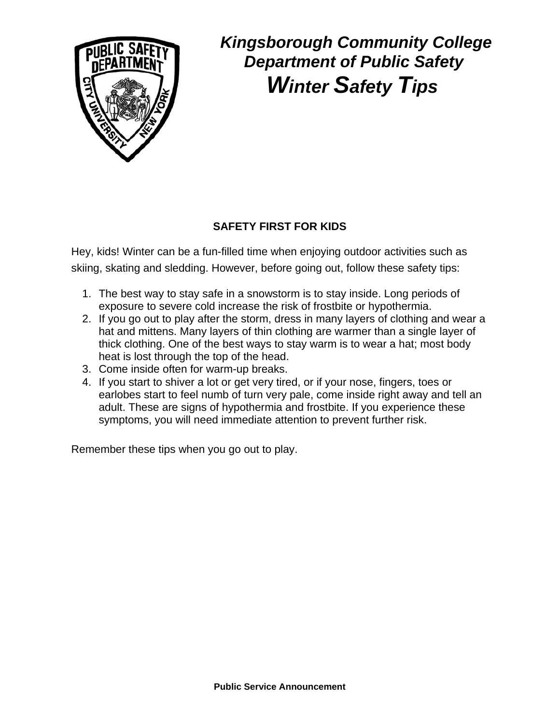

### **SAFETY FIRST FOR KIDS**

Hey, kids! Winter can be a fun-filled time when enjoying outdoor activities such as skiing, skating and sledding. However, before going out, follow these safety tips:

- 1. The best way to stay safe in a snowstorm is to stay inside. Long periods of exposure to severe cold increase the risk of frostbite or hypothermia.
- 2. If you go out to play after the storm, dress in many layers of clothing and wear a hat and mittens. Many layers of thin clothing are warmer than a single layer of thick clothing. One of the best ways to stay warm is to wear a hat; most body heat is lost through the top of the head.
- 3. Come inside often for warm-up breaks.
- 4. If you start to shiver a lot or get very tired, or if your nose, fingers, toes or earlobes start to feel numb of turn very pale, come inside right away and tell an adult. These are signs of hypothermia and frostbite. If you experience these symptoms, you will need immediate attention to prevent further risk.

Remember these tips when you go out to play.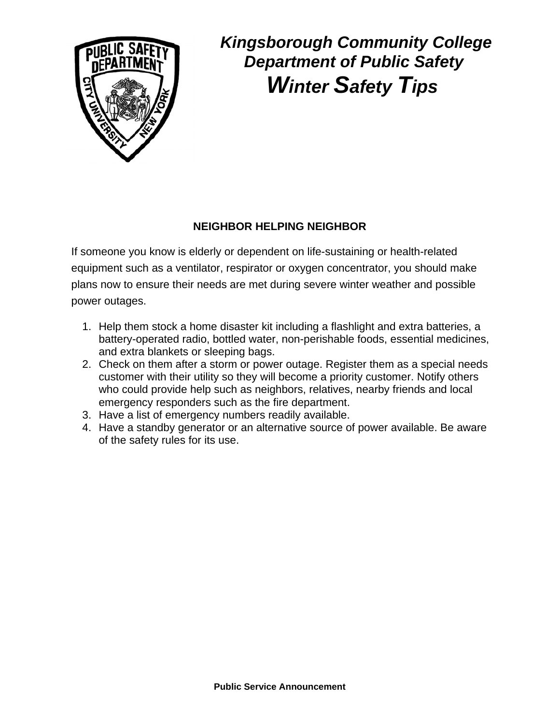

### **NEIGHBOR HELPING NEIGHBOR**

If someone you know is elderly or dependent on life-sustaining or health-related equipment such as a ventilator, respirator or oxygen concentrator, you should make plans now to ensure their needs are met during severe winter weather and possible power outages.

- 1. Help them stock a home disaster kit including a flashlight and extra batteries, a battery-operated radio, bottled water, non-perishable foods, essential medicines, and extra blankets or sleeping bags.
- 2. Check on them after a storm or power outage. Register them as a special needs customer with their utility so they will become a priority customer. Notify others who could provide help such as neighbors, relatives, nearby friends and local emergency responders such as the fire department.
- 3. Have a list of emergency numbers readily available.
- 4. Have a standby generator or an alternative source of power available. Be aware of the safety rules for its use.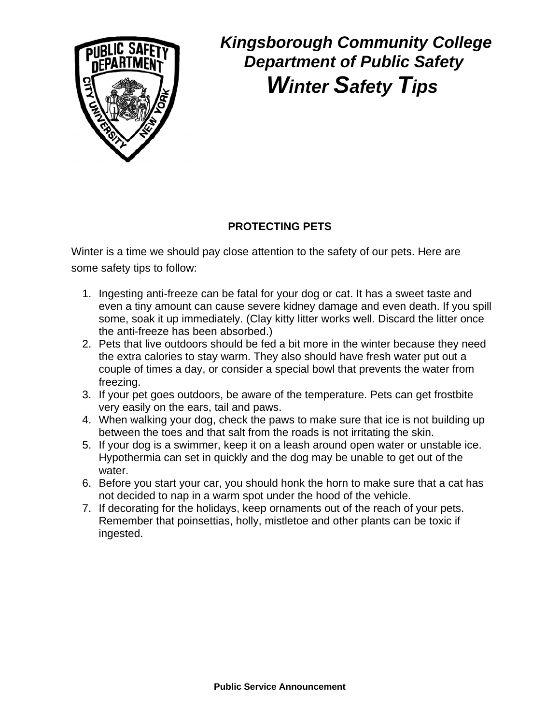

### **PROTECTING PETS**

Winter is a time we should pay close attention to the safety of our pets. Here are some safety tips to follow:

- 1. Ingesting anti-freeze can be fatal for your dog or cat. It has a sweet taste and even a tiny amount can cause severe kidney damage and even death. If you spill some, soak it up immediately. (Clay kitty litter works well. Discard the litter once the anti-freeze has been absorbed.)
- 2. Pets that live outdoors should be fed a bit more in the winter because they need the extra calories to stay warm. They also should have fresh water put out a couple of times a day, or consider a special bowl that prevents the water from freezing.
- 3. If your pet goes outdoors, be aware of the temperature. Pets can get frostbite very easily on the ears, tail and paws.
- 4. When walking your dog, check the paws to make sure that ice is not building up between the toes and that salt from the roads is not irritating the skin.
- 5. If your dog is a swimmer, keep it on a leash around open water or unstable ice. Hypothermia can set in quickly and the dog may be unable to get out of the water.
- 6. Before you start your car, you should honk the horn to make sure that a cat has not decided to nap in a warm spot under the hood of the vehicle.
- 7. If decorating for the holidays, keep ornaments out of the reach of your pets. Remember that poinsettias, holly, mistletoe and other plants can be toxic if ingested.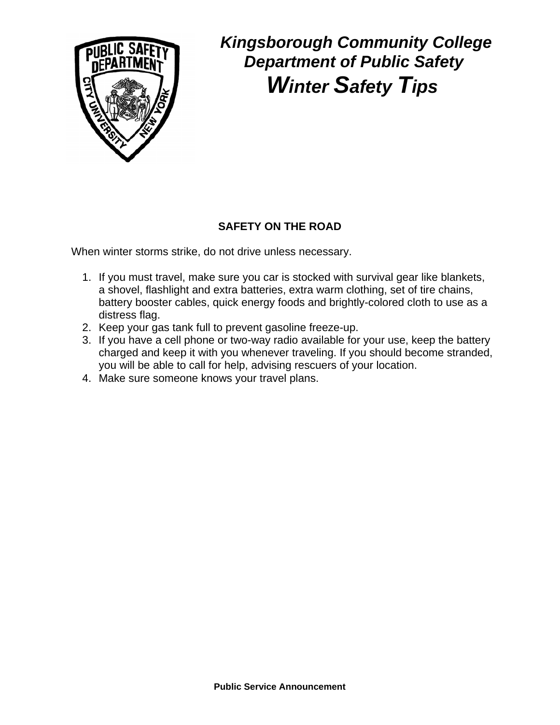

### **SAFETY ON THE ROAD**

When winter storms strike, do not drive unless necessary.

- 1. If you must travel, make sure you car is stocked with survival gear like blankets, a shovel, flashlight and extra batteries, extra warm clothing, set of tire chains, battery booster cables, quick energy foods and brightly-colored cloth to use as a distress flag.
- 2. Keep your gas tank full to prevent gasoline freeze-up.
- 3. If you have a cell phone or two-way radio available for your use, keep the battery charged and keep it with you whenever traveling. If you should become stranded, you will be able to call for help, advising rescuers of your location.
- 4. Make sure someone knows your travel plans.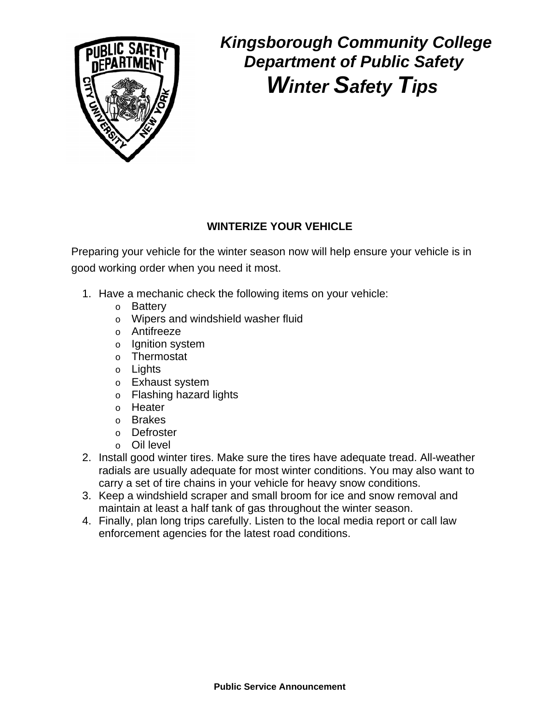

### **WINTERIZE YOUR VEHICLE**

Preparing your vehicle for the winter season now will help ensure your vehicle is in good working order when you need it most.

- 1. Have a mechanic check the following items on your vehicle:
	- o Battery
	- o Wipers and windshield washer fluid
	- o Antifreeze
	- o Ignition system
	- o Thermostat
	- o Lights
	- o Exhaust system
	- o Flashing hazard lights
	- o Heater
	- o Brakes
	- o Defroster
	- o Oil level
- 2. Install good winter tires. Make sure the tires have adequate tread. All-weather radials are usually adequate for most winter conditions. You may also want to carry a set of tire chains in your vehicle for heavy snow conditions.
- 3. Keep a windshield scraper and small broom for ice and snow removal and maintain at least a half tank of gas throughout the winter season.
- 4. Finally, plan long trips carefully. Listen to the local media report or call law enforcement agencies for the latest road conditions.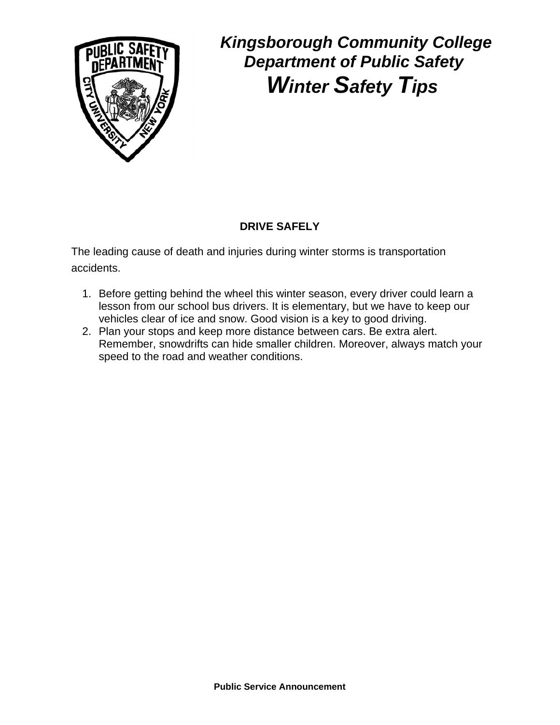

### **DRIVE SAFELY**

The leading cause of death and injuries during winter storms is transportation accidents.

- 1. Before getting behind the wheel this winter season, every driver could learn a lesson from our school bus drivers. It is elementary, but we have to keep our vehicles clear of ice and snow. Good vision is a key to good driving.
- 2. Plan your stops and keep more distance between cars. Be extra alert. Remember, snowdrifts can hide smaller children. Moreover, always match your speed to the road and weather conditions.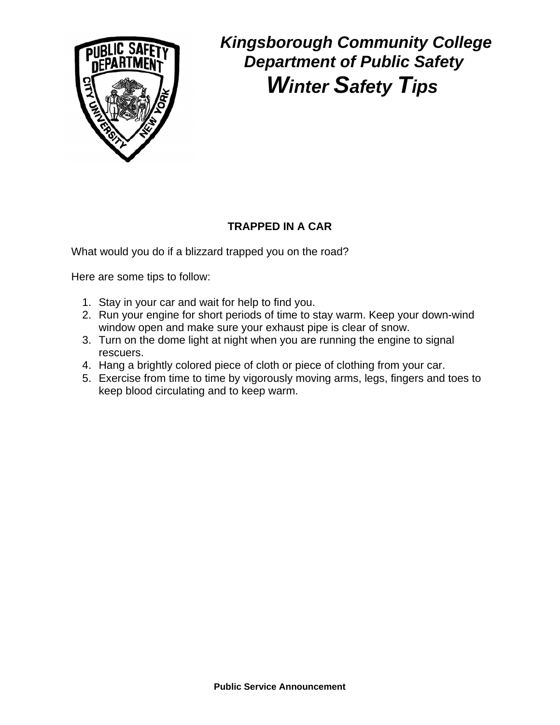

### **TRAPPED IN A CAR**

What would you do if a blizzard trapped you on the road?

Here are some tips to follow:

- 1. Stay in your car and wait for help to find you.
- 2. Run your engine for short periods of time to stay warm. Keep your down-wind window open and make sure your exhaust pipe is clear of snow.
- 3. Turn on the dome light at night when you are running the engine to signal rescuers.
- 4. Hang a brightly colored piece of cloth or piece of clothing from your car.
- 5. Exercise from time to time by vigorously moving arms, legs, fingers and toes to keep blood circulating and to keep warm.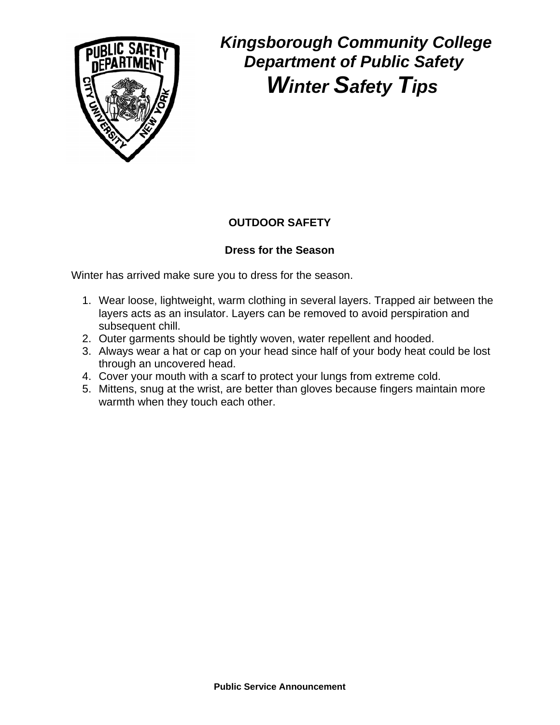

### **OUTDOOR SAFETY**

#### **Dress for the Season**

Winter has arrived make sure you to dress for the season.

- 1. Wear loose, lightweight, warm clothing in several layers. Trapped air between the layers acts as an insulator. Layers can be removed to avoid perspiration and subsequent chill.
- 2. Outer garments should be tightly woven, water repellent and hooded.
- 3. Always wear a hat or cap on your head since half of your body heat could be lost through an uncovered head.
- 4. Cover your mouth with a scarf to protect your lungs from extreme cold.
- 5. Mittens, snug at the wrist, are better than gloves because fingers maintain more warmth when they touch each other.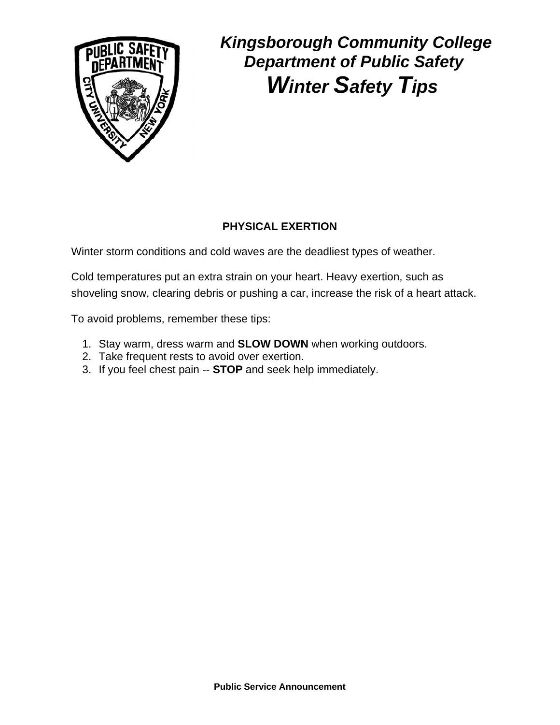

### **PHYSICAL EXERTION**

Winter storm conditions and cold waves are the deadliest types of weather.

Cold temperatures put an extra strain on your heart. Heavy exertion, such as shoveling snow, clearing debris or pushing a car, increase the risk of a heart attack.

To avoid problems, remember these tips:

- 1. Stay warm, dress warm and **SLOW DOWN** when working outdoors.
- 2. Take frequent rests to avoid over exertion.
- 3. If you feel chest pain -- **STOP** and seek help immediately.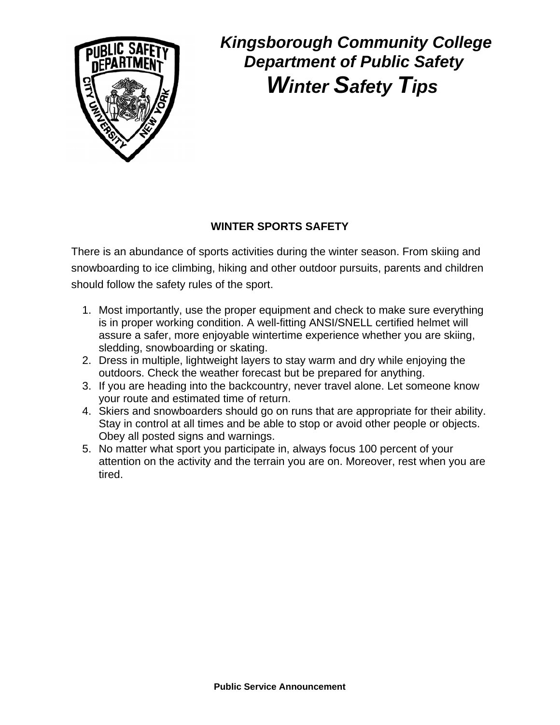

### **WINTER SPORTS SAFETY**

There is an abundance of sports activities during the winter season. From skiing and snowboarding to ice climbing, hiking and other outdoor pursuits, parents and children should follow the safety rules of the sport.

- 1. Most importantly, use the proper equipment and check to make sure everything is in proper working condition. A well-fitting ANSI/SNELL certified helmet will assure a safer, more enjoyable wintertime experience whether you are skiing, sledding, snowboarding or skating.
- 2. Dress in multiple, lightweight layers to stay warm and dry while enjoying the outdoors. Check the weather forecast but be prepared for anything.
- 3. If you are heading into the backcountry, never travel alone. Let someone know your route and estimated time of return.
- 4. Skiers and snowboarders should go on runs that are appropriate for their ability. Stay in control at all times and be able to stop or avoid other people or objects. Obey all posted signs and warnings.
- 5. No matter what sport you participate in, always focus 100 percent of your attention on the activity and the terrain you are on. Moreover, rest when you are tired.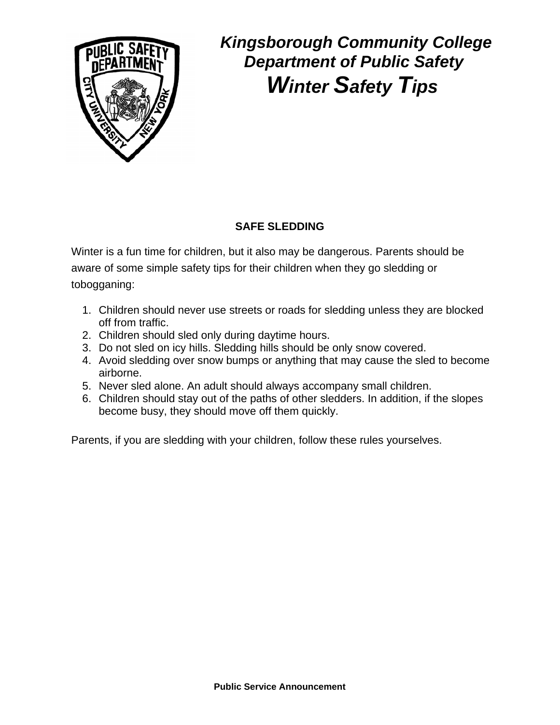

### **SAFE SLEDDING**

Winter is a fun time for children, but it also may be dangerous. Parents should be aware of some simple safety tips for their children when they go sledding or tobogganing:

- 1. Children should never use streets or roads for sledding unless they are blocked off from traffic.
- 2. Children should sled only during daytime hours.
- 3. Do not sled on icy hills. Sledding hills should be only snow covered.
- 4. Avoid sledding over snow bumps or anything that may cause the sled to become airborne.
- 5. Never sled alone. An adult should always accompany small children.
- 6. Children should stay out of the paths of other sledders. In addition, if the slopes become busy, they should move off them quickly.

Parents, if you are sledding with your children, follow these rules yourselves.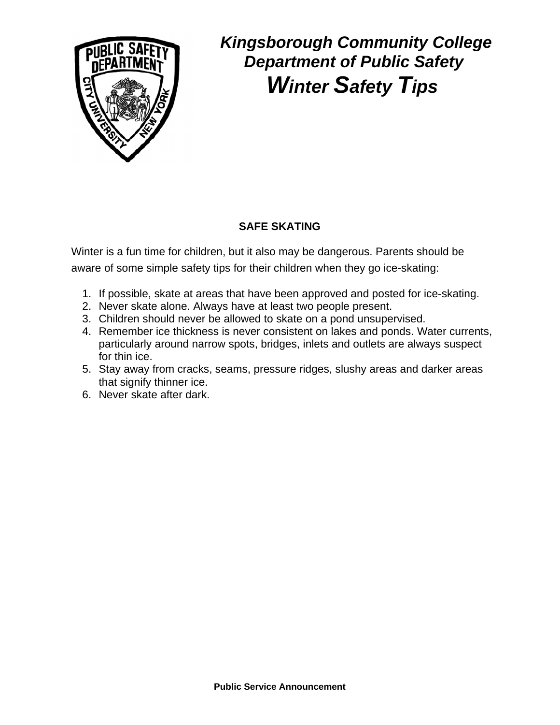

### **SAFE SKATING**

Winter is a fun time for children, but it also may be dangerous. Parents should be aware of some simple safety tips for their children when they go ice-skating:

- 1. If possible, skate at areas that have been approved and posted for ice-skating.
- 2. Never skate alone. Always have at least two people present.
- 3. Children should never be allowed to skate on a pond unsupervised.
- 4. Remember ice thickness is never consistent on lakes and ponds. Water currents, particularly around narrow spots, bridges, inlets and outlets are always suspect for thin ice.
- 5. Stay away from cracks, seams, pressure ridges, slushy areas and darker areas that signify thinner ice.
- 6. Never skate after dark.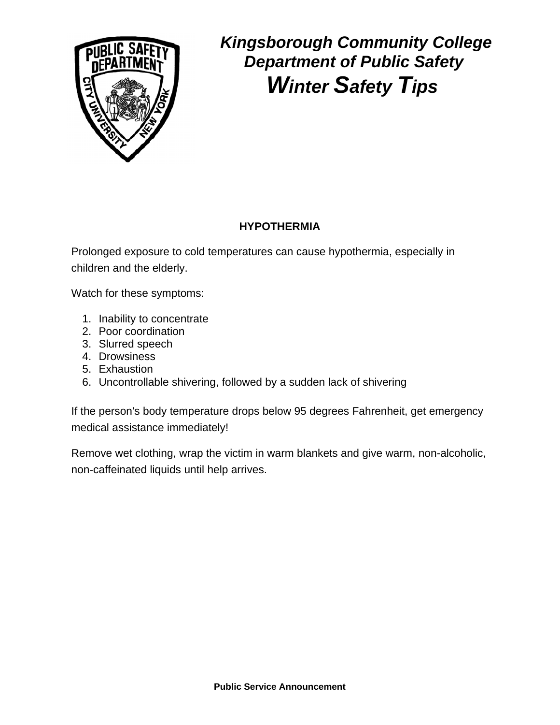

### **HYPOTHERMIA**

Prolonged exposure to cold temperatures can cause hypothermia, especially in children and the elderly.

Watch for these symptoms:

- 1. Inability to concentrate
- 2. Poor coordination
- 3. Slurred speech
- 4. Drowsiness
- 5. Exhaustion
- 6. Uncontrollable shivering, followed by a sudden lack of shivering

If the person's body temperature drops below 95 degrees Fahrenheit, get emergency medical assistance immediately!

Remove wet clothing, wrap the victim in warm blankets and give warm, non-alcoholic, non-caffeinated liquids until help arrives.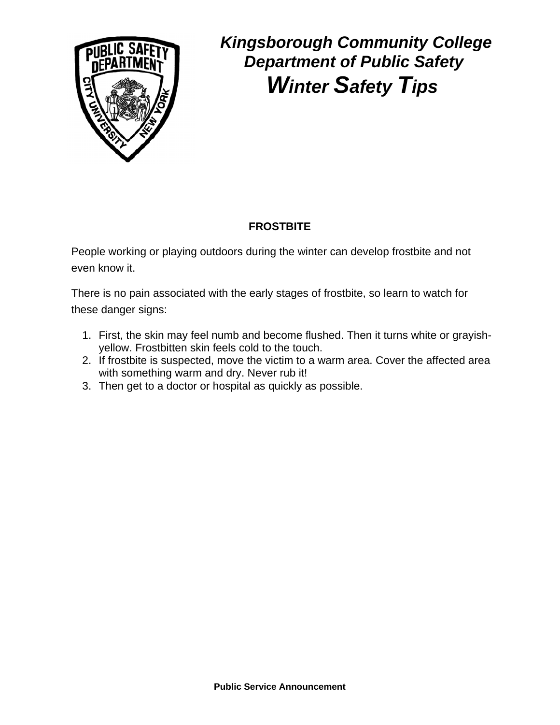

### **FROSTBITE**

People working or playing outdoors during the winter can develop frostbite and not even know it.

There is no pain associated with the early stages of frostbite, so learn to watch for these danger signs:

- 1. First, the skin may feel numb and become flushed. Then it turns white or grayishyellow. Frostbitten skin feels cold to the touch.
- 2. If frostbite is suspected, move the victim to a warm area. Cover the affected area with something warm and dry. Never rub it!
- 3. Then get to a doctor or hospital as quickly as possible.